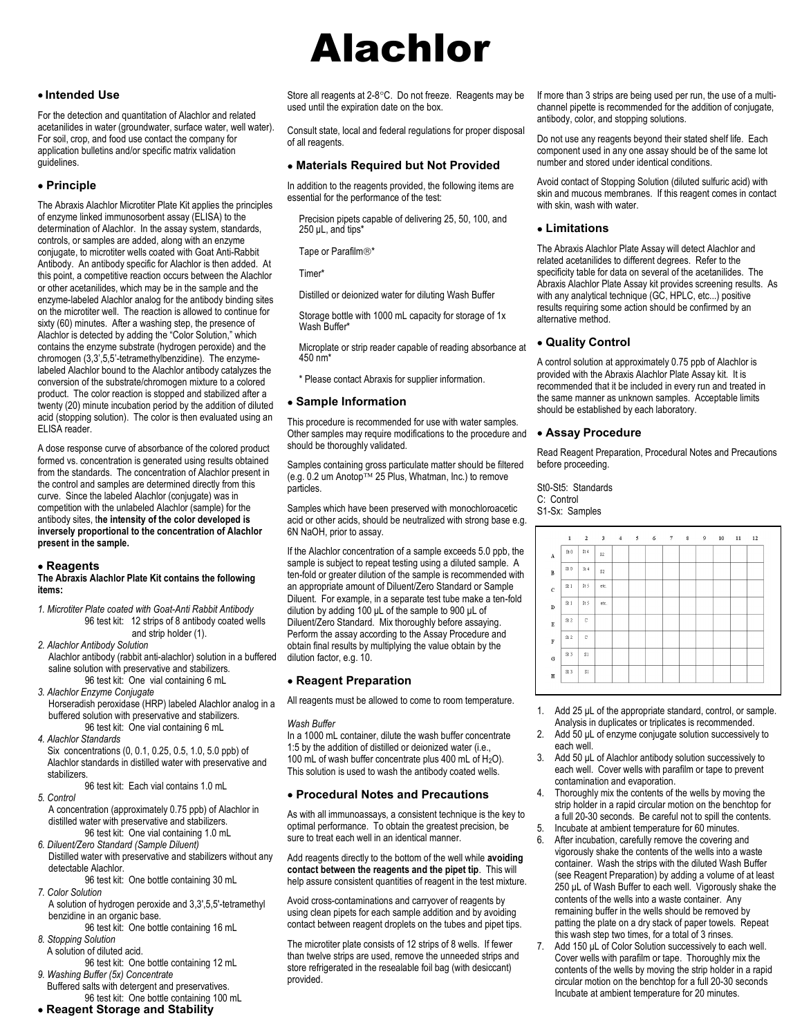# • Intended Use

For the detection and quantitation of Alachlor and related acetanilides in water (groundwater, surface water, well water). For soil, crop, and food use contact the company for application bulletins and/or specific matrix validation guidelines.

## Principle

The Abraxis Alachlor Microtiter Plate Kit applies the principles of enzyme linked immunosorbent assay (ELISA) to the determination of Alachlor. In the assay system, standards, controls, or samples are added, along with an enzyme conjugate, to microtiter wells coated with Goat Anti-Rabbit Antibody. An antibody specific for Alachlor is then added. At this point, a competitive reaction occurs between the Alachlor or other acetanilides, which may be in the sample and the enzyme-labeled Alachlor analog for the antibody binding sites on the microtiter well. The reaction is allowed to continue for sixty (60) minutes. After a washing step, the presence of Alachlor is detected by adding the "Color Solution," which contains the enzyme substrate (hydrogen peroxide) and the chromogen (3,3',5,5'-tetramethylbenzidine). The enzymelabeled Alachlor bound to the Alachlor antibody catalyzes the conversion of the substrate/chromogen mixture to a colored product. The color reaction is stopped and stabilized after a twenty (20) minute incubation period by the addition of diluted acid (stopping solution). The color is then evaluated using an ELISA reader.

A dose response curve of absorbance of the colored product formed vs. concentration is generated using results obtained from the standards. The concentration of Alachlor present in the control and samples are determined directly from this curve. Since the labeled Alachlor (conjugate) was in competition with the unlabeled Alachlor (sample) for the antibody sites, the intensity of the color developed is inversely proportional to the concentration of Alachlor present in the sample.

#### Reagents

#### The Abraxis Alachlor Plate Kit contains the following items:

1. Microtiter Plate coated with Goat-Anti Rabbit Antibody 96 test kit: 12 strips of 8 antibody coated wells and strip holder (1).

- 2. Alachlor Antibody Solution Alachlor antibody (rabbit anti-alachlor) solution in a buffered saline solution with preservative and stabilizers. 96 test kit: One vial containing 6 mL
- 3. Alachlor Enzyme Conjugate
- Horseradish peroxidase (HRP) labeled Alachlor analog in a buffered solution with preservative and stabilizers. 96 test kit: One vial containing 6 mL
- 4. Alachlor Standards

Six concentrations (0, 0.1, 0.25, 0.5, 1.0, 5.0 ppb) of Alachlor standards in distilled water with preservative and stabilizers.

96 test kit: Each vial contains 1.0 mL

- 5. Control A concentration (approximately 0.75 ppb) of Alachlor in distilled water with preservative and stabilizers. 96 test kit: One vial containing 1.0 mL
- 6. Diluent/Zero Standard (Sample Diluent) Distilled water with preservative and stabilizers without any detectable Alachlor.

 96 test kit: One bottle containing 30 mL 7. Color Solution

A solution of hydrogen peroxide and 3,3',5,5'-tetramethyl benzidine in an organic base.

 96 test kit: One bottle containing 16 mL 8. Stopping Solution

- A solution of diluted acid.
- 96 test kit: One bottle containing 12 mL 9. Washing Buffer (5x) Concentrate
- Buffered salts with detergent and preservatives. 96 test kit: One bottle containing 100 mL
- Reagent Storage and Stability

# Alachlor

Store all reagents at  $2-8$   $\degree$ C. Do not freeze. Reagents may be used until the expiration date on the box.

Consult state, local and federal regulations for proper disposal of all reagents.

## Materials Required but Not Provided

In addition to the reagents provided, the following items are essential for the performance of the test:

Precision pipets capable of delivering 25, 50, 100, and 250 μL, and tips\*

Tape or Parafilm<sup>®\*</sup>

Timer\*

Distilled or deionized water for diluting Wash Buffer

Storage bottle with 1000 mL capacity for storage of 1x Wash Buffer\*

Microplate or strip reader capable of reading absorbance at 450 nm\*

\* Please contact Abraxis for supplier information.

## Sample Information

This procedure is recommended for use with water samples. Other samples may require modifications to the procedure and should be thoroughly validated.

Samples containing gross particulate matter should be filtered  $(e.g. 0.2 \text{ um Andop}^{\text{TM}} 25 \text{ Plus}, \text{Whatman}, \text{Inc.})$  to remove particles.

Samples which have been preserved with monochloroacetic acid or other acids, should be neutralized with strong base e.g. 6N NaOH, prior to assay.

If the Alachlor concentration of a sample exceeds 5.0 ppb, the sample is subject to repeat testing using a diluted sample. A ten-fold or greater dilution of the sample is recommended with an appropriate amount of Diluent/Zero Standard or Sample Diluent. For example, in a separate test tube make a ten-fold dilution by adding 100 μL of the sample to 900 μL of Diluent/Zero Standard. Mix thoroughly before assaying. Perform the assay according to the Assay Procedure and obtain final results by multiplying the value obtain by the dilution factor, e.g. 10.

# Reagent Preparation

All reagents must be allowed to come to room temperature.

In a 1000 mL container, dilute the wash buffer concentrate 1:5 by the addition of distilled or deionized water (i.e., 100 mL of wash buffer concentrate plus 400 mL of H<sub>2</sub>O). This solution is used to wash the antibody coated wells.

# Procedural Notes and Precautions

As with all immunoassays, a consistent technique is the key to optimal performance. To obtain the greatest precision, be sure to treat each well in an identical manner.

Add reagents directly to the bottom of the well while avoiding contact between the reagents and the pipet tip. This will help assure consistent quantities of reagent in the test mixture.

Avoid cross-contaminations and carryover of reagents by using clean pipets for each sample addition and by avoiding contact between reagent droplets on the tubes and pipet tips.

The microtiter plate consists of 12 strips of 8 wells. If fewer than twelve strips are used, remove the unneeded strips and store refrigerated in the resealable foil bag (with desiccant) provided.

If more than 3 strips are being used per run, the use of a multichannel pipette is recommended for the addition of conjugate, antibody, color, and stopping solutions.

Do not use any reagents beyond their stated shelf life. Each component used in any one assay should be of the same lot number and stored under identical conditions.

Avoid contact of Stopping Solution (diluted sulfuric acid) with skin and mucous membranes. If this reagent comes in contact with skin, wash with water.

# Limitations

The Abraxis Alachlor Plate Assay will detect Alachlor and related acetanilides to different degrees. Refer to the specificity table for data on several of the acetanilides. The Abraxis Alachlor Plate Assay kit provides screening results. As with any analytical technique (GC, HPLC, etc...) positive results requiring some action should be confirmed by an alternative method.

# Quality Control

A control solution at approximately 0.75 ppb of Alachlor is provided with the Abraxis Alachlor Plate Assay kit. It is recommended that it be included in every run and treated in the same manner as unknown samples. Acceptable limits should be established by each laboratory.

## Assay Procedure

Read Reagent Preparation, Procedural Notes and Precautions before proceeding.

St0-St5: Standards C: Control S1-Sx: Samples



- 1. Add 25 μL of the appropriate standard, control, or sample. Analysis in duplicates or triplicates is recommended.
- 2. Add 50 μL of enzyme conjugate solution successively to each well.
- 3. Add 50 μL of Alachlor antibody solution successively to each well. Cover wells with parafilm or tape to prevent contamination and evaporation.
- 4. Thoroughly mix the contents of the wells by moving the strip holder in a rapid circular motion on the benchtop for a full 20-30 seconds. Be careful not to spill the contents.
- 5. Incubate at ambient temperature for 60 minutes.<br>6. After incubation, carefully remove the covering a
- After incubation, carefully remove the covering and vigorously shake the contents of the wells into a waste container. Wash the strips with the diluted Wash Buffer (see Reagent Preparation) by adding a volume of at least 250 μL of Wash Buffer to each well. Vigorously shake the contents of the wells into a waste container. Any remaining buffer in the wells should be removed by patting the plate on a dry stack of paper towels. Repeat this wash step two times, for a total of 3 rinses.
- 7. Add 150 μL of Color Solution successively to each well. Cover wells with parafilm or tape. Thoroughly mix the contents of the wells by moving the strip holder in a rapid circular motion on the benchtop for a full 20-30 seconds Incubate at ambient temperature for 20 minutes.

Wash Buffer